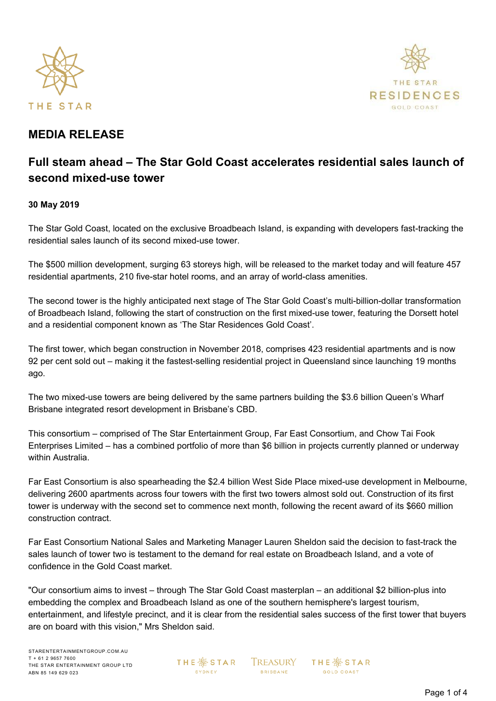



## **MEDIA RELEASE**

# **Full steam ahead – The Star Gold Coast accelerates residential sales launch of second mixed-use tower**

### **30 May 2019**

The Star Gold Coast, located on the exclusive Broadbeach Island, is expanding with developers fast-tracking the residential sales launch of its second mixed-use tower.

The \$500 million development, surging 63 storeys high, will be released to the market today and will feature 457 residential apartments, 210 five-star hotel rooms, and an array of world-class amenities.

The second tower is the highly anticipated next stage of The Star Gold Coast's multi-billion-dollar transformation of Broadbeach Island, following the start of construction on the first mixed-use tower, featuring the Dorsett hotel and a residential component known as 'The Star Residences Gold Coast'.

The first tower, which began construction in November 2018, comprises 423 residential apartments and is now 92 per cent sold out – making it the fastest-selling residential project in Queensland since launching 19 months ago.

The two mixed-use towers are being delivered by the same partners building the \$3.6 billion Queen's Wharf Brisbane integrated resort development in Brisbane's CBD.

This consortium – comprised of The Star Entertainment Group, Far East Consortium, and Chow Tai Fook Enterprises Limited – has a combined portfolio of more than \$6 billion in projects currently planned or underway within Australia.

Far East Consortium is also spearheading the \$2.4 billion West Side Place mixed-use development in Melbourne, delivering 2600 apartments across four towers with the first two towers almost sold out. Construction of its first tower is underway with the second set to commence next month, following the recent award of its \$660 million construction contract.

Far East Consortium National Sales and Marketing Manager Lauren Sheldon said the decision to fast-track the sales launch of tower two is testament to the demand for real estate on Broadbeach Island, and a vote of confidence in the Gold Coast market.

"Our consortium aims to invest – through The Star Gold Coast masterplan – an additional \$2 billion-plus into embedding the complex and Broadbeach Island as one of the southern hemisphere's largest tourism, entertainment, and lifestyle precinct, and it is clear from the residential sales success of the first tower that buyers are on board with this vision," Mrs Sheldon said.

**THE ※ STAR** SYDNEY

**TREASURY BRISBANE** 

**THE ※STAR GOLD COAST**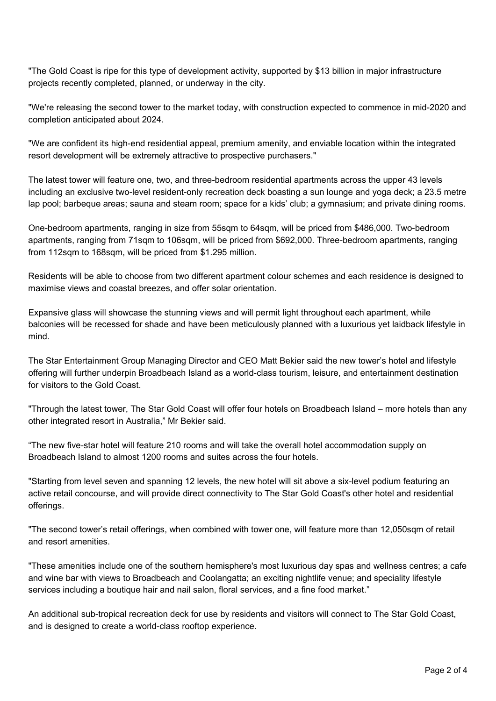"The Gold Coast is ripe for this type of development activity, supported by \$13 billion in major infrastructure projects recently completed, planned, or underway in the city.

"We're releasing the second tower to the market today, with construction expected to commence in mid-2020 and completion anticipated about 2024.

"We are confident its high-end residential appeal, premium amenity, and enviable location within the integrated resort development will be extremely attractive to prospective purchasers."

The latest tower will feature one, two, and three-bedroom residential apartments across the upper 43 levels including an exclusive two-level resident-only recreation deck boasting a sun lounge and yoga deck; a 23.5 metre lap pool; barbeque areas; sauna and steam room; space for a kids' club; a gymnasium; and private dining rooms.

One-bedroom apartments, ranging in size from 55sqm to 64sqm, will be priced from \$486,000. Two-bedroom apartments, ranging from 71sqm to 106sqm, will be priced from \$692,000. Three-bedroom apartments, ranging from 112sqm to 168sqm, will be priced from \$1.295 million.

Residents will be able to choose from two different apartment colour schemes and each residence is designed to maximise views and coastal breezes, and offer solar orientation.

Expansive glass will showcase the stunning views and will permit light throughout each apartment, while balconies will be recessed for shade and have been meticulously planned with a luxurious yet laidback lifestyle in mind.

The Star Entertainment Group Managing Director and CEO Matt Bekier said the new tower's hotel and lifestyle offering will further underpin Broadbeach Island as a world-class tourism, leisure, and entertainment destination for visitors to the Gold Coast.

"Through the latest tower, The Star Gold Coast will offer four hotels on Broadbeach Island – more hotels than any other integrated resort in Australia," Mr Bekier said.

"The new five-star hotel will feature 210 rooms and will take the overall hotel accommodation supply on Broadbeach Island to almost 1200 rooms and suites across the four hotels.

"Starting from level seven and spanning 12 levels, the new hotel will sit above a six-level podium featuring an active retail concourse, and will provide direct connectivity to The Star Gold Coast's other hotel and residential offerings.

"The second tower's retail offerings, when combined with tower one, will feature more than 12,050sqm of retail and resort amenities.

"These amenities include one of the southern hemisphere's most luxurious day spas and wellness centres; a cafe and wine bar with views to Broadbeach and Coolangatta; an exciting nightlife venue; and speciality lifestyle services including a boutique hair and nail salon, floral services, and a fine food market."

An additional sub-tropical recreation deck for use by residents and visitors will connect to The Star Gold Coast, and is designed to create a world-class rooftop experience.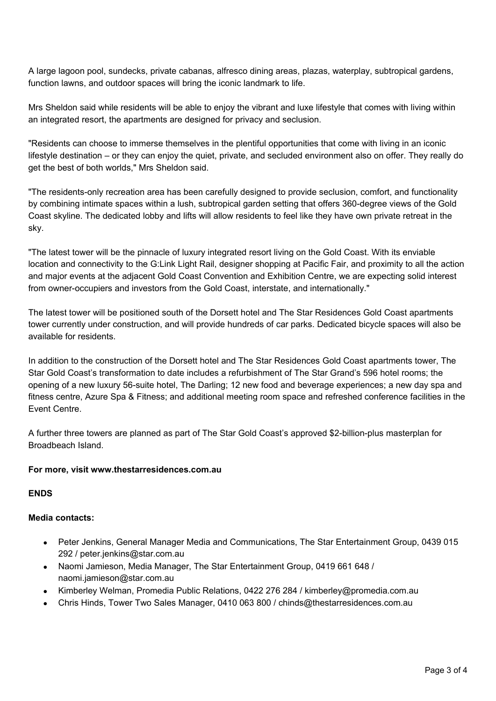A large lagoon pool, sundecks, private cabanas, alfresco dining areas, plazas, waterplay, subtropical gardens, function lawns, and outdoor spaces will bring the iconic landmark to life.

Mrs Sheldon said while residents will be able to enjoy the vibrant and luxe lifestyle that comes with living within an integrated resort, the apartments are designed for privacy and seclusion.

"Residents can choose to immerse themselves in the plentiful opportunities that come with living in an iconic lifestyle destination – or they can enjoy the quiet, private, and secluded environment also on offer. They really do get the best of both worlds," Mrs Sheldon said.

"The residents-only recreation area has been carefully designed to provide seclusion, comfort, and functionality by combining intimate spaces within a lush, subtropical garden setting that offers 360-degree views of the Gold Coast skyline. The dedicated lobby and lifts will allow residents to feel like they have own private retreat in the sky.

"The latest tower will be the pinnacle of luxury integrated resort living on the Gold Coast. With its enviable location and connectivity to the G:Link Light Rail, designer shopping at Pacific Fair, and proximity to all the action and major events at the adjacent Gold Coast Convention and Exhibition Centre, we are expecting solid interest from owner-occupiers and investors from the Gold Coast, interstate, and internationally."

The latest tower will be positioned south of the Dorsett hotel and The Star Residences Gold Coast apartments tower currently under construction, and will provide hundreds of car parks. Dedicated bicycle spaces will also be available for residents.

In addition to the construction of the Dorsett hotel and The Star Residences Gold Coast apartments tower, The Star Gold Coast's transformation to date includes a refurbishment of The Star Grand's 596 hotel rooms; the opening of a new luxury 56-suite hotel, The Darling; 12 new food and beverage experiences; a new day spa and fitness centre, Azure Spa & Fitness; and additional meeting room space and refreshed conference facilities in the Event Centre.

A further three towers are planned as part of The Star Gold Coast's approved \$2-billion-plus masterplan for Broadbeach Island.

#### **For more, visit [www.thestarresidences.com.au](http://www.thestarresidences.com.au/)**

**ENDS**

#### **Media contacts:**

- Peter Jenkins, General Manager Media and Communications, The Star Entertainment Group, 0439 015 292 / [peter.jenkins@star.com.au](mailto:peter.jenkins@star.com.au)
- Naomi Jamieson, Media Manager, The Star Entertainment Group, 0419 661 648 / naomi.jamieson@star.com.au
- Kimberley Welman, Promedia Public Relations, 0422 276 284 / [kimberley@promedia.com.au](mailto:kimberley@promedia.com.au)
- Chris Hinds, Tower Two Sales Manager, 0410 063 800 / [chinds@thestarresidences.com.au](mailto:chinds@thestarresidences.com.au)